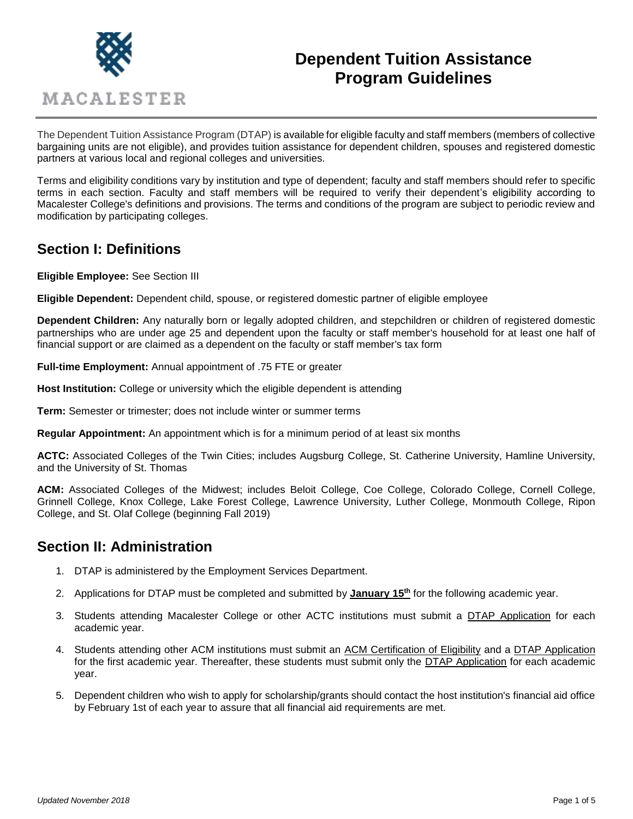

# **Dependent Tuition Assistance Program Guidelines**

The Dependent Tuition Assistance Program (DTAP) is available for eligible faculty and staff members (members of collective bargaining units are not eligible), and provides tuition assistance for dependent children, spouses and registered domestic partners at various local and regional colleges and universities.

Terms and eligibility conditions vary by institution and type of dependent; faculty and staff members should refer to specific terms in each section. Faculty and staff members will be required to verify their dependent's eligibility according to Macalester College's definitions and provisions. The terms and conditions of the program are subject to periodic review and modification by participating colleges.

# **Section I: Definitions**

**Eligible Employee:** See Section III

**Eligible Dependent:** Dependent child, spouse, or registered domestic partner of eligible employee

**Dependent Children:** Any naturally born or legally adopted children, and stepchildren or children of registered domestic partnerships who are under age 25 and dependent upon the faculty or staff member's household for at least one half of financial support or are claimed as a dependent on the faculty or staff member's tax form

**Full-time Employment:** Annual appointment of .75 FTE or greater

**Host Institution:** College or university which the eligible dependent is attending

**Term:** Semester or trimester; does not include winter or summer terms

**Regular Appointment:** An appointment which is for a minimum period of at least six months

**ACTC:** Associated Colleges of the Twin Cities; includes Augsburg College, St. Catherine University, Hamline University, and the University of St. Thomas

**ACM:** Associated Colleges of the Midwest; includes Beloit College, Coe College, Colorado College, Cornell College, Grinnell College, Knox College, Lake Forest College, Lawrence University, Luther College, Monmouth College, Ripon College, and St. Olaf College (beginning Fall 2019)

# **Section II: Administration**

- 1. DTAP is administered by the Employment Services Department.
- 2. Applications for DTAP must be completed and submitted by **January 15th** for the following academic year.
- 3. Students attending Macalester College or other ACTC institutions must submit a DTAP Application for each academic year.
- 4. Students attending other ACM institutions must submit an ACM Certification of Eligibility and a DTAP Application for the first academic year. Thereafter, these students must submit only the DTAP Application for each academic year.
- 5. Dependent children who wish to apply for scholarship/grants should contact the host institution's financial aid office by February 1st of each year to assure that all financial aid requirements are met.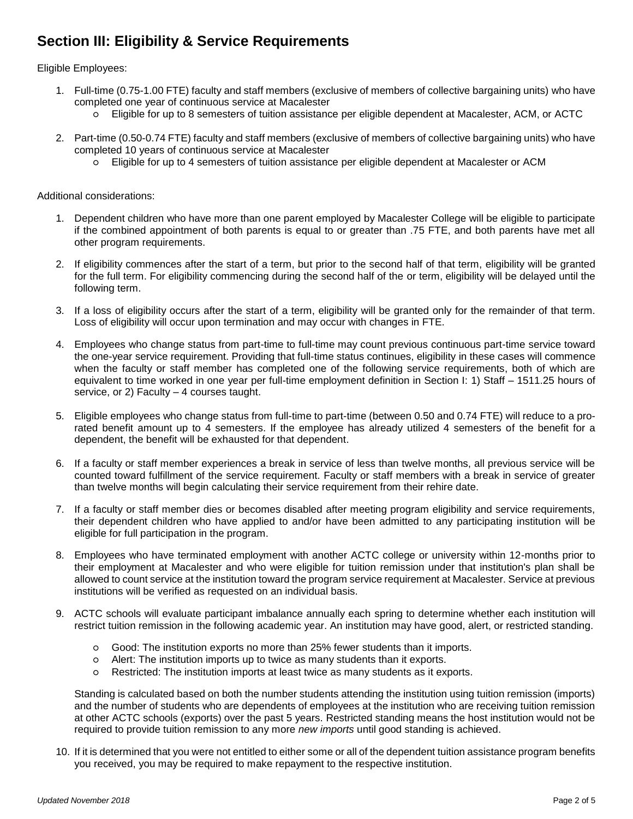# **Section III: Eligibility & Service Requirements**

Eligible Employees:

- 1. Full-time (0.75-1.00 FTE) faculty and staff members (exclusive of members of collective bargaining units) who have completed one year of continuous service at Macalester
	- Eligible for up to 8 semesters of tuition assistance per eligible dependent at Macalester, ACM, or ACTC
- 2. Part-time (0.50-0.74 FTE) faculty and staff members (exclusive of members of collective bargaining units) who have completed 10 years of continuous service at Macalester
	- Eligible for up to 4 semesters of tuition assistance per eligible dependent at Macalester or ACM

Additional considerations:

- 1. Dependent children who have more than one parent employed by Macalester College will be eligible to participate if the combined appointment of both parents is equal to or greater than .75 FTE, and both parents have met all other program requirements.
- 2. If eligibility commences after the start of a term, but prior to the second half of that term, eligibility will be granted for the full term. For eligibility commencing during the second half of the or term, eligibility will be delayed until the following term.
- 3. If a loss of eligibility occurs after the start of a term, eligibility will be granted only for the remainder of that term. Loss of eligibility will occur upon termination and may occur with changes in FTE.
- 4. Employees who change status from part-time to full-time may count previous continuous part-time service toward the one-year service requirement. Providing that full-time status continues, eligibility in these cases will commence when the faculty or staff member has completed one of the following service requirements, both of which are equivalent to time worked in one year per full-time employment definition in Section I: 1) Staff – 1511.25 hours of service, or 2) Faculty – 4 courses taught.
- 5. Eligible employees who change status from full-time to part-time (between 0.50 and 0.74 FTE) will reduce to a prorated benefit amount up to 4 semesters. If the employee has already utilized 4 semesters of the benefit for a dependent, the benefit will be exhausted for that dependent.
- 6. If a faculty or staff member experiences a break in service of less than twelve months, all previous service will be counted toward fulfillment of the service requirement. Faculty or staff members with a break in service of greater than twelve months will begin calculating their service requirement from their rehire date.
- 7. If a faculty or staff member dies or becomes disabled after meeting program eligibility and service requirements, their dependent children who have applied to and/or have been admitted to any participating institution will be eligible for full participation in the program.
- 8. Employees who have terminated employment with another ACTC college or university within 12-months prior to their employment at Macalester and who were eligible for tuition remission under that institution's plan shall be allowed to count service at the institution toward the program service requirement at Macalester. Service at previous institutions will be verified as requested on an individual basis.
- 9. ACTC schools will evaluate participant imbalance annually each spring to determine whether each institution will restrict tuition remission in the following academic year. An institution may have good, alert, or restricted standing.
	- Good: The institution exports no more than 25% fewer students than it imports.
	- Alert: The institution imports up to twice as many students than it exports.
	- Restricted: The institution imports at least twice as many students as it exports.

Standing is calculated based on both the number students attending the institution using tuition remission (imports) and the number of students who are dependents of employees at the institution who are receiving tuition remission at other ACTC schools (exports) over the past 5 years. Restricted standing means the host institution would not be required to provide tuition remission to any more *new imports* until good standing is achieved.

10. If it is determined that you were not entitled to either some or all of the dependent tuition assistance program benefits you received, you may be required to make repayment to the respective institution.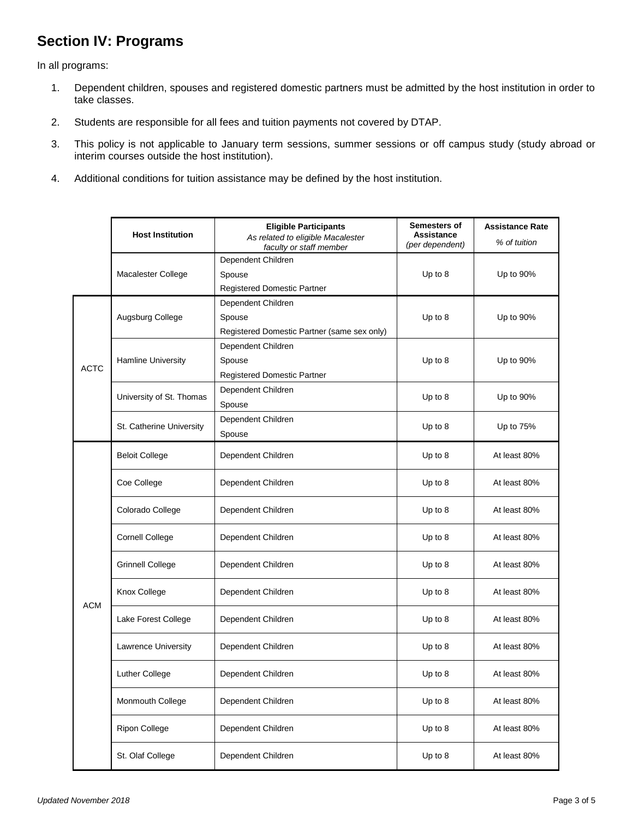# **Section IV: Programs**

In all programs:

- 1. Dependent children, spouses and registered domestic partners must be admitted by the host institution in order to take classes.
- 2. Students are responsible for all fees and tuition payments not covered by DTAP.
- 3. This policy is not applicable to January term sessions, summer sessions or off campus study (study abroad or interim courses outside the host institution).
- 4. Additional conditions for tuition assistance may be defined by the host institution.

|             | <b>Host Institution</b>  | <b>Eligible Participants</b><br>As related to eligible Macalester<br>faculty or staff member | Semesters of<br><b>Assistance</b><br>(per dependent) | <b>Assistance Rate</b><br>% of tuition |
|-------------|--------------------------|----------------------------------------------------------------------------------------------|------------------------------------------------------|----------------------------------------|
|             | Macalester College       | Dependent Children<br>Spouse<br>Registered Domestic Partner                                  | Up to 8                                              | Up to 90%                              |
| <b>ACTC</b> | Augsburg College         | Dependent Children<br>Spouse<br>Registered Domestic Partner (same sex only)                  | Up to 8                                              | Up to 90%                              |
|             | Hamline University       | Dependent Children<br>Spouse<br>Registered Domestic Partner                                  | Up to 8                                              | Up to 90%                              |
|             | University of St. Thomas | Dependent Children<br>Spouse                                                                 | Up to 8                                              | Up to 90%                              |
|             | St. Catherine University | Dependent Children<br>Spouse                                                                 | Up to 8                                              | Up to 75%                              |
| <b>ACM</b>  | <b>Beloit College</b>    | Dependent Children                                                                           | Up to 8                                              | At least 80%                           |
|             | Coe College              | Dependent Children                                                                           | Up to 8                                              | At least 80%                           |
|             | Colorado College         | Dependent Children                                                                           | Up to 8                                              | At least 80%                           |
|             | <b>Cornell College</b>   | Dependent Children                                                                           | Up to 8                                              | At least 80%                           |
|             | <b>Grinnell College</b>  | Dependent Children                                                                           | Up to 8                                              | At least 80%                           |
|             | Knox College             | Dependent Children                                                                           | Up to 8                                              | At least 80%                           |
|             | Lake Forest College      | Dependent Children                                                                           | Up to 8                                              | At least 80%                           |
|             | Lawrence University      | Dependent Children                                                                           | Up to 8                                              | At least 80%                           |
|             | <b>Luther College</b>    | Dependent Children                                                                           | Up to $8$                                            | At least 80%                           |
|             | Monmouth College         | Dependent Children                                                                           | Up to 8                                              | At least 80%                           |
|             | Ripon College            | Dependent Children                                                                           | Up to 8                                              | At least 80%                           |
|             | St. Olaf College         | Dependent Children                                                                           | Up to 8                                              | At least 80%                           |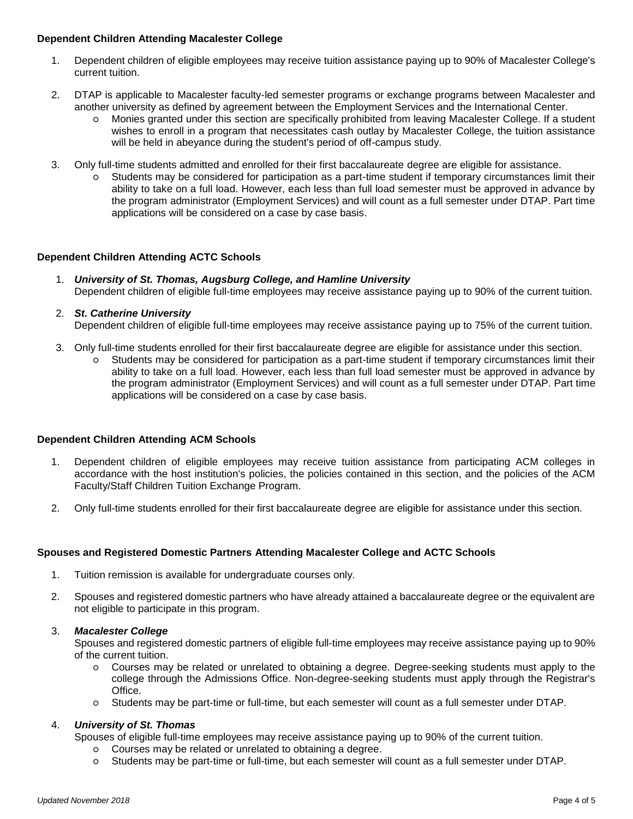### **Dependent Children Attending Macalester College**

- 1. Dependent children of eligible employees may receive tuition assistance paying up to 90% of Macalester College's current tuition.
- 2. DTAP is applicable to Macalester faculty-led semester programs or exchange programs between Macalester and another university as defined by agreement between the Employment Services and the International Center.
	- Monies granted under this section are specifically prohibited from leaving Macalester College. If a student wishes to enroll in a program that necessitates cash outlay by Macalester College, the tuition assistance will be held in abeyance during the student's period of off-campus study.
- 3. Only full-time students admitted and enrolled for their first baccalaureate degree are eligible for assistance.
	- Students may be considered for participation as a part-time student if temporary circumstances limit their ability to take on a full load. However, each less than full load semester must be approved in advance by the program administrator (Employment Services) and will count as a full semester under DTAP. Part time applications will be considered on a case by case basis.

## **Dependent Children Attending ACTC Schools**

1. *University of St. Thomas, Augsburg College, and Hamline University* Dependent children of eligible full-time employees may receive assistance paying up to 90% of the current tuition.

## 2. *St. Catherine University*

Dependent children of eligible full-time employees may receive assistance paying up to 75% of the current tuition.

- 3. Only full-time students enrolled for their first baccalaureate degree are eligible for assistance under this section.
	- Students may be considered for participation as a part-time student if temporary circumstances limit their ability to take on a full load. However, each less than full load semester must be approved in advance by the program administrator (Employment Services) and will count as a full semester under DTAP. Part time applications will be considered on a case by case basis.

### **Dependent Children Attending ACM Schools**

- 1. Dependent children of eligible employees may receive tuition assistance from participating ACM colleges in accordance with the host institution's policies, the policies contained in this section, and the policies of the ACM Faculty/Staff Children Tuition Exchange Program.
- 2. Only full-time students enrolled for their first baccalaureate degree are eligible for assistance under this section.

## **Spouses and Registered Domestic Partners Attending Macalester College and ACTC Schools**

- 1. Tuition remission is available for undergraduate courses only.
- 2. Spouses and registered domestic partners who have already attained a baccalaureate degree or the equivalent are not eligible to participate in this program.

### 3. *Macalester College*

Spouses and registered domestic partners of eligible full-time employees may receive assistance paying up to 90% of the current tuition.

- Courses may be related or unrelated to obtaining a degree. Degree-seeking students must apply to the college through the Admissions Office. Non-degree-seeking students must apply through the Registrar's Office.
- Students may be part-time or full-time, but each semester will count as a full semester under DTAP.

### 4. *University of St. Thomas*

Spouses of eligible full-time employees may receive assistance paying up to 90% of the current tuition.

- Courses may be related or unrelated to obtaining a degree.
- Students may be part-time or full-time, but each semester will count as a full semester under DTAP.